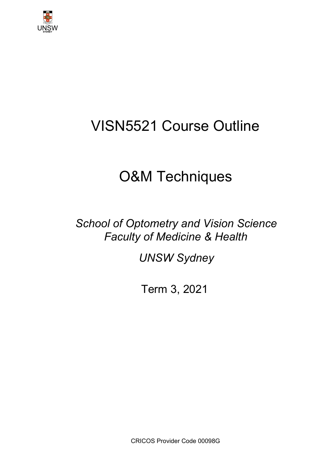

# VISN5521 Course Outline

# O&M Techniques

*School of Optometry and Vision Science Faculty of Medicine & Health*

*UNSW Sydney*

Term 3, 2021

CRICOS Provider Code 00098G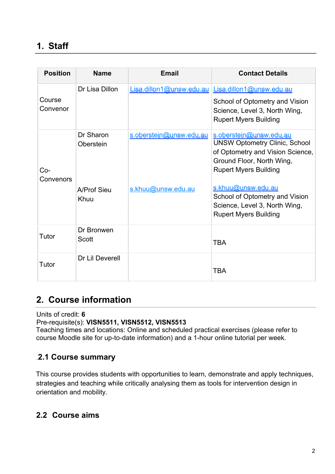## **1. Staff**

| <b>Position</b>    | <b>Name</b>            | <b>Email</b>            | <b>Contact Details</b>                                                                                                                                           |
|--------------------|------------------------|-------------------------|------------------------------------------------------------------------------------------------------------------------------------------------------------------|
| Course<br>Convenor | Dr Lisa Dillon         |                         | Lisa.dillon1@unsw.edu.au Lisa.dillon1@unsw.edu.au<br>School of Optometry and Vision<br>Science, Level 3, North Wing,<br><b>Rupert Myers Building</b>             |
| $Co-$<br>Convenors | Dr Sharon<br>Oberstein | s.oberstein@unsw.edu.au | s.oberstein@unsw.edu.au<br><b>UNSW Optometry Clinic, School</b><br>of Optometry and Vision Science,<br>Ground Floor, North Wing,<br><b>Rupert Myers Building</b> |
|                    | A/Prof Sieu<br>Khuu    | s.khuu@unsw.edu.au      | s.khuu@unsw.edu.au<br>School of Optometry and Vision<br>Science, Level 3, North Wing,<br><b>Rupert Myers Building</b>                                            |
| Tutor              | Dr Bronwen<br>Scott    |                         | <b>TBA</b>                                                                                                                                                       |
| Tutor              | Dr Lil Deverell        |                         | <b>TBA</b>                                                                                                                                                       |

### **2. Course information**

Units of credit: **6**

#### Pre-requisite(s): **VISN5511, VISN5512, VISN5513**

Teaching times and locations: Online and scheduled practical exercises (please refer to course Moodle site for up-to-date information) and a 1-hour online tutorial per week.

#### .**2.1 Course summary**

This course provides students with opportunities to learn, demonstrate and apply techniques, strategies and teaching while critically analysing them as tools for intervention design in orientation and mobility.

#### **2.2 Course aims**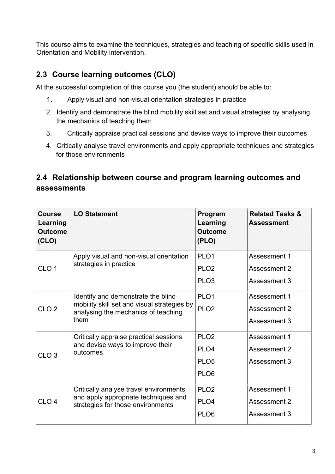This course aims to examine the techniques, strategies and teaching of specific skills used in Orientation and Mobility intervention.

#### **2.3 Course learning outcomes (CLO)**

At the successful completion of this course you (the student) should be able to:

- 1. Apply visual and non-visual orientation strategies in practice
- 2. Identify and demonstrate the blind mobility skill set and visual strategies by analysing the mechanics of teaching them
- 3. Critically appraise practical sessions and devise ways to improve their outcomes
- 4. Critically analyse travel environments and apply appropriate techniques and strategies for those environments

## **2.4 Relationship between course and program learning outcomes and assessments**

| Course<br>Learning<br><b>Outcome</b><br>(CLO) | <b>LO Statement</b>                                                                                                              | Program<br>Learning<br><b>Outcome</b><br>(PLO) | <b>Related Tasks &amp;</b><br><b>Assessment</b> |
|-----------------------------------------------|----------------------------------------------------------------------------------------------------------------------------------|------------------------------------------------|-------------------------------------------------|
|                                               | Apply visual and non-visual orientation                                                                                          | PLO <sub>1</sub>                               | Assessment 1                                    |
| CLO <sub>1</sub>                              | strategies in practice                                                                                                           | PLO <sub>2</sub>                               | Assessment 2                                    |
|                                               |                                                                                                                                  | PLO <sub>3</sub>                               | Assessment 3                                    |
|                                               | Identify and demonstrate the blind<br>mobility skill set and visual strategies by<br>analysing the mechanics of teaching<br>them | PLO <sub>1</sub>                               | Assessment 1                                    |
| CLO <sub>2</sub>                              |                                                                                                                                  | PLO <sub>2</sub>                               | Assessment 2                                    |
|                                               |                                                                                                                                  |                                                | Assessment 3                                    |
|                                               | Critically appraise practical sessions<br>and devise ways to improve their<br>outcomes                                           | PLO <sub>2</sub>                               | Assessment 1                                    |
| CLO <sub>3</sub>                              |                                                                                                                                  | PLO <sub>4</sub>                               | Assessment 2                                    |
|                                               |                                                                                                                                  | PLO <sub>5</sub>                               | Assessment 3                                    |
|                                               |                                                                                                                                  | PLO <sub>6</sub>                               |                                                 |
| CLO <sub>4</sub>                              | Critically analyse travel environments<br>and apply appropriate techniques and<br>strategies for those environments              | PLO <sub>2</sub>                               | Assessment 1                                    |
|                                               |                                                                                                                                  | PLO <sub>4</sub>                               | Assessment 2                                    |
|                                               |                                                                                                                                  | PLO <sub>6</sub>                               | Assessment 3                                    |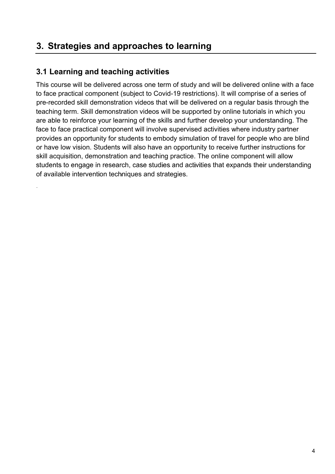## **3. Strategies and approaches to learning**

### **3.1 Learning and teaching activities**

This course will be delivered across one term of study and will be delivered online with a face to face practical component (subject to Covid-19 restrictions). It will comprise of a series of pre-recorded skill demonstration videos that will be delivered on a regular basis through the teaching term. Skill demonstration videos will be supported by online tutorials in which you are able to reinforce your learning of the skills and further develop your understanding. The face to face practical component will involve supervised activities where industry partner provides an opportunity for students to embody simulation of travel for people who are blind or have low vision. Students will also have an opportunity to receive further instructions for skill acquisition, demonstration and teaching practice. The online component will allow students to engage in research, case studies and activities that expands their understanding of available intervention techniques and strategies.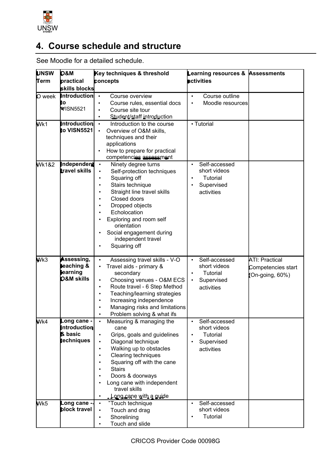

# **4. Course schedule and structure**

See Moodle for a detailed schedule.

| <b>UNSW</b>       | Key techniques & threshold<br><b>D&amp;M</b> |                        | Learning resources & Assessments                          |           |                          |                       |
|-------------------|----------------------------------------------|------------------------|-----------------------------------------------------------|-----------|--------------------------|-----------------------|
| Term<br>practical |                                              | concepts               |                                                           |           | <b>activities</b>        |                       |
|                   | skills blocks                                |                        |                                                           |           |                          |                       |
| O week            | <b>Introduction</b>                          | $\bullet$              | Course overview                                           | $\bullet$ | Course outline           |                       |
|                   | tо                                           | ٠                      | Course rules, essential docs                              | $\bullet$ | Moodle resources         |                       |
|                   | WISN5521                                     | ٠                      | Course site tour                                          |           |                          |                       |
|                   |                                              | ٠                      | Student/staff introduction                                |           |                          |                       |
| Wk1               | Introduction                                 | $\bullet$              | Introduction to the course                                |           | • Tutorial               |                       |
|                   | to VISN5521                                  | $\bullet$              | Overview of O&M skills,                                   |           |                          |                       |
|                   |                                              |                        | techniques and their                                      |           |                          |                       |
|                   |                                              |                        | applications                                              |           |                          |                       |
|                   |                                              |                        | How to prepare for practical                              |           |                          |                       |
|                   |                                              |                        | competencies assessment                                   |           |                          |                       |
| <b>Wk1&amp;2</b>  | Independen<br><b>travel skills</b>           | $\bullet$              | Ninety degree turns                                       |           | Self-accessed            |                       |
|                   |                                              | $\bullet$              | Self-protection techniques                                | $\bullet$ | short videos<br>Tutorial |                       |
|                   |                                              | ٠<br>٠                 | Squaring off                                              |           | Supervised               |                       |
|                   |                                              |                        | Stairs technique<br>Straight line travel skills           |           | activities               |                       |
|                   |                                              |                        | Closed doors                                              |           |                          |                       |
|                   |                                              |                        | Dropped objects                                           |           |                          |                       |
|                   |                                              |                        | Echolocation                                              |           |                          |                       |
|                   |                                              |                        | Exploring and room self                                   |           |                          |                       |
|                   |                                              |                        | orientation                                               |           |                          |                       |
|                   |                                              |                        | Social engagement during                                  |           |                          |                       |
|                   |                                              |                        | independent travel                                        |           |                          |                       |
|                   |                                              |                        | Squaring off                                              |           |                          |                       |
|                   |                                              |                        |                                                           |           |                          |                       |
| Wk3               | Assessing,                                   | $\bullet$              | Assessing travel skills - V-O                             |           | Self-accessed            | <b>ATI: Practical</b> |
|                   | teaching &<br>earning                        |                        | Travel aids - primary &                                   |           | short videos             | Competencies start    |
|                   | <b>D&amp;M</b> skills                        |                        | secondary                                                 |           | Tutorial                 | $(On-going, 60%)$     |
|                   |                                              | $\bullet$<br>$\bullet$ | Choosing venues - O&M ECS<br>Route travel - 6 Step Method | $\bullet$ | Supervised               |                       |
|                   |                                              | $\bullet$              | Teaching/learning strategies                              |           | activities               |                       |
|                   |                                              | ٠                      | Increasing independence                                   |           |                          |                       |
|                   |                                              |                        | Managing risks and limitations                            |           |                          |                       |
|                   |                                              |                        | Problem solving & what ifs                                |           |                          |                       |
| Wk4               | Long cane                                    |                        | Measuring & managing the                                  |           | Self-accessed            |                       |
|                   | introduction                                 |                        | cane                                                      |           | short videos             |                       |
|                   | & basic                                      | $\bullet$              | Grips, goals and guidelines                               |           | Tutorial                 |                       |
|                   | techniques                                   | $\bullet$              | Diagonal technique                                        |           | Supervised               |                       |
|                   |                                              | $\bullet$              | Walking up to obstacles                                   |           | activities               |                       |
|                   |                                              |                        | <b>Clearing techniques</b>                                |           |                          |                       |
|                   |                                              |                        | Squaring off with the cane                                |           |                          |                       |
|                   |                                              |                        | <b>Stairs</b>                                             |           |                          |                       |
|                   |                                              |                        | Doors & doorways                                          |           |                          |                       |
|                   |                                              |                        | Long cane with independent                                |           |                          |                       |
|                   |                                              |                        | travel skills                                             |           |                          |                       |
|                   |                                              |                        | - Long cane with a guide                                  |           |                          |                       |
| Wk5               | Long cane -                                  | $\bullet$              | Touch technique                                           |           | Self-accessed            |                       |
|                   | block travel                                 | $\bullet$              | Touch and drag                                            |           | short videos             |                       |
|                   |                                              |                        | Shorelining                                               |           | <b>Tutorial</b>          |                       |
|                   |                                              | ٠                      | Touch and slide                                           |           |                          |                       |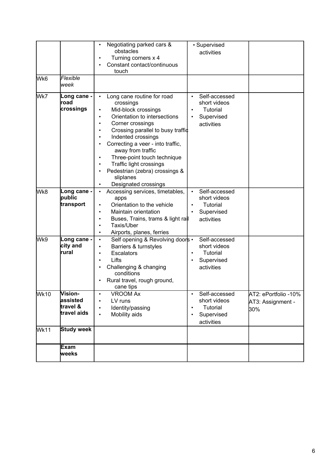| lWk6 | Flexible<br>lweek                               | Negotiating parked cars &<br>obstacles<br>Turning corners x 4<br>Constant contact/continuous<br>touch                                                                                                                                                                                                                                                                                 | • Supervised<br>activities                                                         |                                                  |
|------|-------------------------------------------------|---------------------------------------------------------------------------------------------------------------------------------------------------------------------------------------------------------------------------------------------------------------------------------------------------------------------------------------------------------------------------------------|------------------------------------------------------------------------------------|--------------------------------------------------|
| lWk7 | Long cane -<br>road<br>crossings                | Long cane routine for road<br>$\bullet$<br>crossings<br>Mid-block crossings<br>Orientation to intersections<br>Corner crossings<br>Crossing parallel to busy traffic<br>Indented crossings<br>Correcting a veer - into traffic,<br>away from traffic<br>Three-point touch technique<br>Traffic light crossings<br>Pedestrian (zebra) crossings &<br>sliplanes<br>Designated crossings | Self-accessed<br>short videos<br>Tutorial<br>Supervised<br>activities              |                                                  |
| lwk8 | Long cane -<br>public<br>transport              | Accessing services, timetables,<br>apps<br>Orientation to the vehicle<br>Maintain orientation<br>Buses, Trains, trams & light rall<br>Taxis/Uber<br>Airports, planes, ferries<br>٠                                                                                                                                                                                                    | Self-accessed<br>short videos<br>Tutorial<br>Supervised<br>activities              |                                                  |
| lWk9 | Long cane -<br>city and<br>rural                | Self opening & Revolving doors .<br>٠<br>Barriers & turnstyles<br><b>Escalators</b><br>$\bullet$<br>Lifts<br>٠<br>Challenging & changing<br>conditions<br>Rural travel, rough ground,<br>cane tips                                                                                                                                                                                    | Self-accessed<br>short videos<br>Tutorial<br>Supervised<br>activities              |                                                  |
| Wk10 | Vision-<br>lassisted<br>travel &<br>travel aids | VROOM Ax<br>٠<br>LV runs<br>$\bullet$<br>Identity/passing<br>$\bullet$<br>Mobility aids<br>$\bullet$                                                                                                                                                                                                                                                                                  | Self-accessed<br>short videos<br>Tutorial<br>$\bullet$<br>Supervised<br>activities | AT2: ePortfolio -10%<br>AT3: Assignment -<br>30% |
| Wk11 | <b>Study week</b>                               |                                                                                                                                                                                                                                                                                                                                                                                       |                                                                                    |                                                  |
|      | Exam<br>weeks                                   |                                                                                                                                                                                                                                                                                                                                                                                       |                                                                                    |                                                  |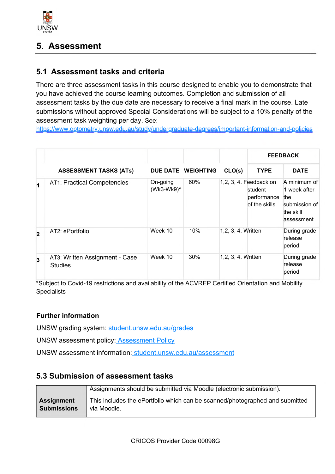

## **5. Assessment**

#### **5.1 Assessment tasks and criteria**

There are three assessment tasks in this course designed to enable you to demonstrate that you have achieved the course learning outcomes. Completion and submission of all assessment tasks by the due date are necessary to receive a final mark in the course. Late submissions without approved Special Considerations will be subject to a 10% penalty of the assessment task weighting per day. See:

<https://www.optometry.unsw.edu.au/study/undergraduate-degrees/important-information-and-policies>

|                |                                                  |                        |                    |                    | <b>FEEDBACK</b>                                                   |                                                                                 |
|----------------|--------------------------------------------------|------------------------|--------------------|--------------------|-------------------------------------------------------------------|---------------------------------------------------------------------------------|
|                | <b>ASSESSMENT TASKS (ATs)</b>                    |                        | DUE DATE WEIGHTING | CLO(s)             | <b>TYPE</b>                                                       | <b>DATE</b>                                                                     |
|                | <b>AT1: Practical Competencies</b>               | On-going<br>(Wk3-Wk9)* | 60%                |                    | 1,2, 3, 4. Feedback on<br>student<br>performance<br>of the skills | A minimum of<br>1 week after<br>the<br>submission of<br>the skill<br>assessment |
| $\overline{2}$ | AT2: ePortfolio                                  | Week 10                | 10%                | 1,2, 3, 4. Written |                                                                   | During grade<br>release<br>period                                               |
| $\overline{3}$ | AT3: Written Assignment - Case<br><b>Studies</b> | Week 10                | 30%                | 1,2, 3, 4. Written |                                                                   | During grade<br>release<br>period                                               |

\*Subject to Covid-19 restrictions and availability of the ACVREP Certified Orientation and Mobility **Specialists** 

#### **Further information**

UNSW grading system: [student.unsw.edu.au/grades](https://student.unsw.edu.au/grades)

UNSW assessment policy[: Assessment Policy](https://www.gs.unsw.edu.au/policy/documents/assessmentpolicy.pdf)

UNSW assessment information: [student.unsw.edu.au/assessment](https://student.unsw.edu.au/assessment)

#### **5.3 Submission of assessment tasks**

|                   | Assignments should be submitted via Moodle (electronic submission).          |
|-------------------|------------------------------------------------------------------------------|
| <b>Assignment</b> | This includes the ePortfolio which can be scanned/photographed and submitted |
| Submissions       | via Moodle.                                                                  |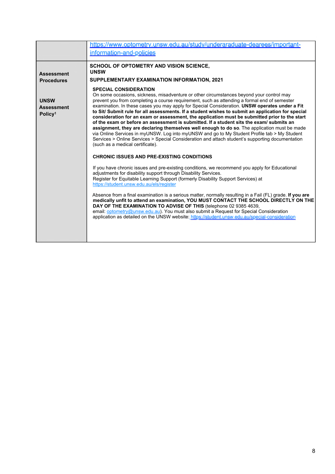|                                                         | https://www.optometry.unsw.edu.au/study/underaraduate-dearees/important-<br>information-and-policies                                                                                                                                                                                                                                                                                                                                                                                                                                                                                                                                                                                                                                                                                                                                                                                                                                                                                                                                                                                                                                                                                                                                                                                                                                                                                                                                                                                                                                                                                                                                                                                                                                                                                                   |
|---------------------------------------------------------|--------------------------------------------------------------------------------------------------------------------------------------------------------------------------------------------------------------------------------------------------------------------------------------------------------------------------------------------------------------------------------------------------------------------------------------------------------------------------------------------------------------------------------------------------------------------------------------------------------------------------------------------------------------------------------------------------------------------------------------------------------------------------------------------------------------------------------------------------------------------------------------------------------------------------------------------------------------------------------------------------------------------------------------------------------------------------------------------------------------------------------------------------------------------------------------------------------------------------------------------------------------------------------------------------------------------------------------------------------------------------------------------------------------------------------------------------------------------------------------------------------------------------------------------------------------------------------------------------------------------------------------------------------------------------------------------------------------------------------------------------------------------------------------------------------|
| <b>Assessment</b><br><b>Procedures</b>                  | SCHOOL OF OPTOMETRY AND VISION SCIENCE,<br><b>UNSW</b><br>SUPPLEMENTARY EXAMINATION INFORMATION, 2021                                                                                                                                                                                                                                                                                                                                                                                                                                                                                                                                                                                                                                                                                                                                                                                                                                                                                                                                                                                                                                                                                                                                                                                                                                                                                                                                                                                                                                                                                                                                                                                                                                                                                                  |
| <b>UNSW</b><br><b>Assessment</b><br>Policy <sup>1</sup> | <b>SPECIAL CONSIDERATION</b><br>On some occasions, sickness, misadventure or other circumstances beyond your control may<br>prevent you from completing a course requirement, such as attending a formal end of semester<br>examination. In these cases you may apply for Special Consideration. UNSW operates under a Fit<br>to Sit/ Submit rule for all assessments. If a student wishes to submit an application for special<br>consideration for an exam or assessment, the application must be submitted prior to the start<br>of the exam or before an assessment is submitted. If a student sits the exam/submits an<br>assignment, they are declaring themselves well enough to do so. The application must be made<br>via Online Services in myUNSW. Log into myUNSW and go to My Student Profile tab > My Student<br>Services > Online Services > Special Consideration and attach student's supporting documentation<br>(such as a medical certificate).<br><b>CHRONIC ISSUES AND PRE-EXISTING CONDITIONS</b><br>If you have chronic issues and pre-existing conditions, we recommend you apply for Educational<br>adjustments for disability support through Disability Services.<br>Register for Equitable Learning Support (formerly Disability Support Services) at<br>https://student.unsw.edu.au/els/register<br>Absence from a final examination is a serious matter, normally resulting in a Fail (FL) grade. If you are<br>medically unfit to attend an examination, YOU MUST CONTACT THE SCHOOL DIRECTLY ON THE<br>DAY OF THE EXAMINATION TO ADVISE OF THIS (telephone 02 9385 4639,<br>email: optometry@unsw.edu.au). You must also submit a Request for Special Consideration<br>application as detailed on the UNSW website: https://student.unsw.edu.au/special-consideration |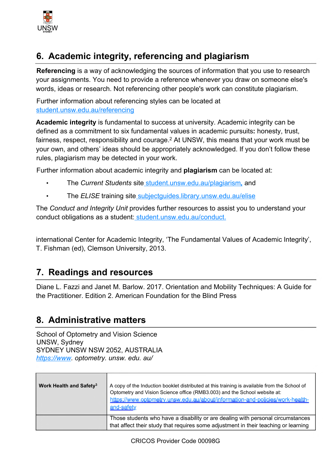

# **6. Academic integrity, referencing and plagiarism**

**Referencing** is a way of acknowledging the sources of information that you use to research your assignments. You need to provide a reference whenever you draw on someone else's words, ideas or research. Not referencing other people's work can constitute plagiarism.

Further information about referencing styles can be located at [student.unsw.edu.au/referencing](https://student.unsw.edu.au/referencing)

**Academic integrity** is fundamental to success at university. Academic integrity can be defined as a commitment to six fundamental values in academic pursuits**:** honesty, trust, fairness, respect, responsibility and courage.<sup>2</sup> At UNSW, this means that your work must be your own, and others' ideas should be appropriately acknowledged. If you don't follow these rules, plagiarism may be detected in your work.

Further information about academic integrity and **plagiarism** can be located at:

- The *Current Students* site [student.unsw.edu.au/plagiarism](https://student.unsw.edu.au/plagiarism)*,* and
- The *ELISE* training site [subjectguides.library.unsw.edu.au/elise](http://subjectguides.library.unsw.edu.au/elise)

The *Conduct and Integrity Unit* provides further resources to assist you to understand your conduct obligations as a student[: student.unsw.edu.au/conduct.](https://student.unsw.edu.au/conduct)

international Center for Academic Integrity, 'The Fundamental Values of Academic Integrity', T. Fishman (ed), Clemson University, 2013.

## **7. Readings and resources**

Diane L. Fazzi and Janet M. Barlow. 2017. Orientation and Mobility Techniques: A Guide for the Practitioner. Edition 2. American Foundation for the Blind Press

## **8. Administrative matters**

School of Optometry and Vision Science UNSW, Sydney SYDNEY UNSW NSW 2052, AUSTRALIA *<https://www>. optometry. unsw. edu. au/*

| Work Health and Safety <sup>3</sup> | A copy of the Induction booklet distributed at this training is available from the School of<br>Optometry and Vision Science office (RMB3.003) and the School website at:<br>https://www.optometry.unsw.edu.au/about/information-and-policies/work-health-<br>and-safety |
|-------------------------------------|--------------------------------------------------------------------------------------------------------------------------------------------------------------------------------------------------------------------------------------------------------------------------|
|                                     | Those students who have a disability or are dealing with personal circumstances<br>that affect their study that requires some adjustment in their teaching or learning                                                                                                   |